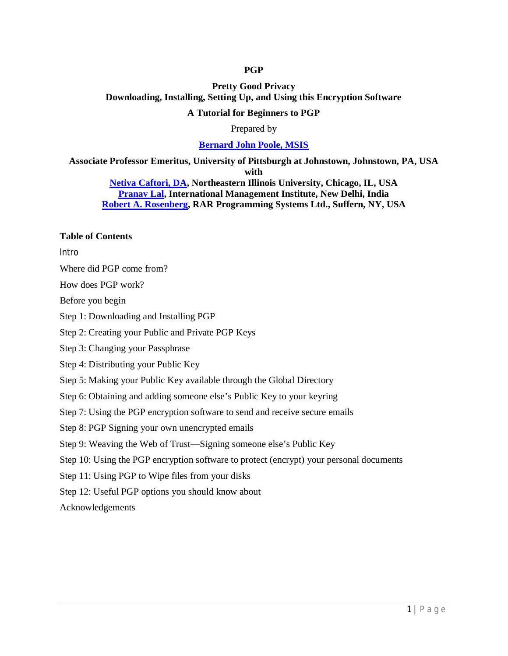### **PGP**

# **Pretty Good Privacy Downloading, Installing, Setting Up, and Using this Encryption Software**

#### **A Tutorial for Beginners to PGP**

#### Prepared by

#### **Bernard John Poole, MSIS**

**Associate Professor Emeritus, University of Pittsburgh at Johnstown, Johnstown, PA, USA with**

**Netiva Caftori, DA, Northeastern Illinois University, Chicago, IL, USA Pranav Lal, International Management Institute, New Delhi, India Robert A. Rosenberg, RAR Programming Systems Ltd., Suffern, NY, USA**

### **Table of Contents**

Intro

Where did PGP come from?

How does PGP work?

Before you begin

Step 1: Downloading and Installing PGP

Step 2: Creating your Public and Private PGP Keys

Step 3: Changing your Passphrase

Step 4: Distributing your Public Key

Step 5: Making your Public Key available through the Global Directory

Step 6: Obtaining and adding someone else's Public Key to your keyring

Step 7: Using the PGP encryption software to send and receive secure emails

Step 8: PGP Signing your own unencrypted emails

Step 9: Weaving the Web of Trust—Signing someone else's Public Key

Step 10: Using the PGP encryption software to protect (encrypt) your personal documents

Step 11: Using PGP to Wipe files from your disks

Step 12: Useful PGP options you should know about

Acknowledgements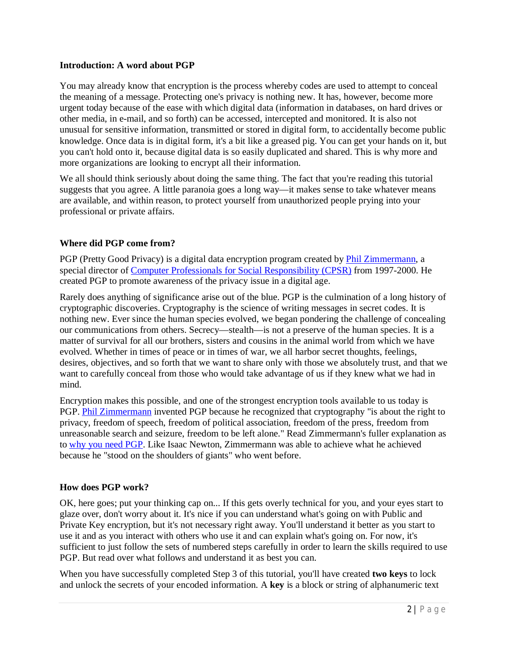### **Introduction: A word about PGP**

You may already know that encryption is the process whereby codes are used to attempt to conceal the meaning of a message. Protecting one's privacy is nothing new. It has, however, become more urgent today because of the ease with which digital data (information in databases, on hard drives or other media, in e-mail, and so forth) can be accessed, intercepted and monitored. It is also not unusual for sensitive information, transmitted or stored in digital form, to accidentally become public knowledge. Once data is in digital form, it's a bit like a greased pig. You can get your hands on it, but you can't hold onto it, because digital data is so easily duplicated and shared. This is why more and more organizations are looking to encrypt all their information.

We all should think seriously about doing the same thing. The fact that you're reading this tutorial suggests that you agree. A little paranoia goes a long way—it makes sense to take whatever means are available, and within reason, to protect yourself from unauthorized people prying into your professional or private affairs.

# **Where did PGP come from?**

PGP (Pretty Good Privacy) is a digital data encryption program created by *Phil Zimmermann*, a special director of Computer Professionals for Social Responsibility (CPSR) from 1997-2000. He created PGP to promote awareness of the privacy issue in a digital age.

Rarely does anything of significance arise out of the blue. PGP is the culmination of a long history of cryptographic discoveries. Cryptography is the science of writing messages in secret codes. It is nothing new. Ever since the human species evolved, we began pondering the challenge of concealing our communications from others. Secrecy—stealth—is not a preserve of the human species. It is a matter of survival for all our brothers, sisters and cousins in the animal world from which we have evolved. Whether in times of peace or in times of war, we all harbor secret thoughts, feelings, desires, objectives, and so forth that we want to share only with those we absolutely trust, and that we want to carefully conceal from those who would take advantage of us if they knew what we had in mind.

Encryption makes this possible, and one of the strongest encryption tools available to us today is PGP. Phil Zimmermann invented PGP because he recognized that cryptography "is about the right to privacy, freedom of speech, freedom of political association, freedom of the press, freedom from unreasonable search and seizure, freedom to be left alone." Read Zimmermann's fuller explanation as to why you need PGP. Like Isaac Newton, Zimmermann was able to achieve what he achieved because he "stood on the shoulders of giants" who went before.

# **How does PGP work?**

OK, here goes; put your thinking cap on... If this gets overly technical for you, and your eyes start to glaze over, don't worry about it. It's nice if you can understand what's going on with Public and Private Key encryption, but it's not necessary right away. You'll understand it better as you start to use it and as you interact with others who use it and can explain what's going on. For now, it's sufficient to just follow the sets of numbered steps carefully in order to learn the skills required to use PGP. But read over what follows and understand it as best you can.

When you have successfully completed Step 3 of this tutorial, you'll have created **two keys** to lock and unlock the secrets of your encoded information. A **key** is a block or string of alphanumeric text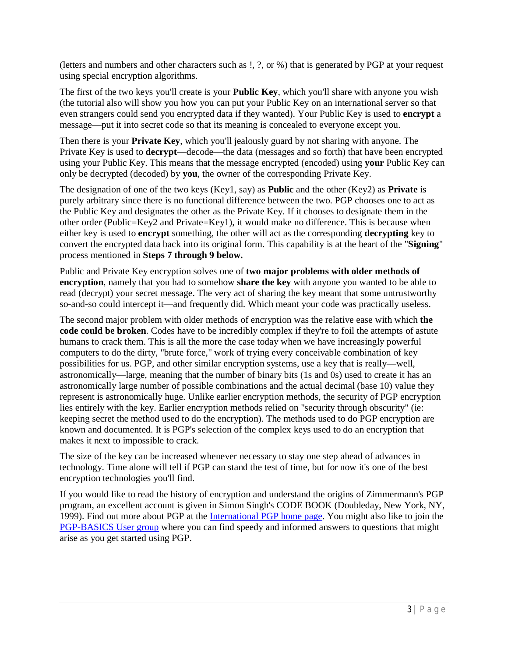(letters and numbers and other characters such as !, ?, or %) that is generated by PGP at your request using special encryption algorithms.

The first of the two keys you'll create is your **Public Key**, which you'll share with anyone you wish (the tutorial also will show you how you can put your Public Key on an international server so that even strangers could send you encrypted data if they wanted). Your Public Key is used to **encrypt** a message—put it into secret code so that its meaning is concealed to everyone except you.

Then there is your **Private Key**, which you'll jealously guard by not sharing with anyone. The Private Key is used to **decrypt**—decode—the data (messages and so forth) that have been encrypted using your Public Key. This means that the message encrypted (encoded) using **your** Public Key can only be decrypted (decoded) by **you**, the owner of the corresponding Private Key.

The designation of one of the two keys (Key1, say) as **Public** and the other (Key2) as **Private** is purely arbitrary since there is no functional difference between the two. PGP chooses one to act as the Public Key and designates the other as the Private Key. If it chooses to designate them in the other order (Public=Key2 and Private=Key1), it would make no difference. This is because when either key is used to **encrypt** something, the other will act as the corresponding **decrypting** key to convert the encrypted data back into its original form. This capability is at the heart of the "**Signing**" process mentioned in **Steps 7 through 9 below.**

Public and Private Key encryption solves one of **two major problems with older methods of encryption**, namely that you had to somehow **share the key** with anyone you wanted to be able to read (decrypt) your secret message. The very act of sharing the key meant that some untrustworthy so-and-so could intercept it—and frequently did. Which meant your code was practically useless.

The second major problem with older methods of encryption was the relative ease with which **the code could be broken**. Codes have to be incredibly complex if they're to foil the attempts of astute humans to crack them. This is all the more the case today when we have increasingly powerful computers to do the dirty, "brute force," work of trying every conceivable combination of key possibilities for us. PGP, and other similar encryption systems, use a key that is really—well, astronomically—large, meaning that the number of binary bits (1s and 0s) used to create it has an astronomically large number of possible combinations and the actual decimal (base 10) value they represent is astronomically huge. Unlike earlier encryption methods, the security of PGP encryption lies entirely with the key. Earlier encryption methods relied on "security through obscurity" (ie: keeping secret the method used to do the encryption). The methods used to do PGP encryption are known and documented. It is PGP's selection of the complex keys used to do an encryption that makes it next to impossible to crack.

The size of the key can be increased whenever necessary to stay one step ahead of advances in technology. Time alone will tell if PGP can stand the test of time, but for now it's one of the best encryption technologies you'll find.

If you would like to read the history of encryption and understand the origins of Zimmermann's PGP program, an excellent account is given in Simon Singh's CODE BOOK (Doubleday, New York, NY, 1999). Find out more about PGP at the International PGP home page. You might also like to join the PGP-BASICS User group where you can find speedy and informed answers to questions that might arise as you get started using PGP.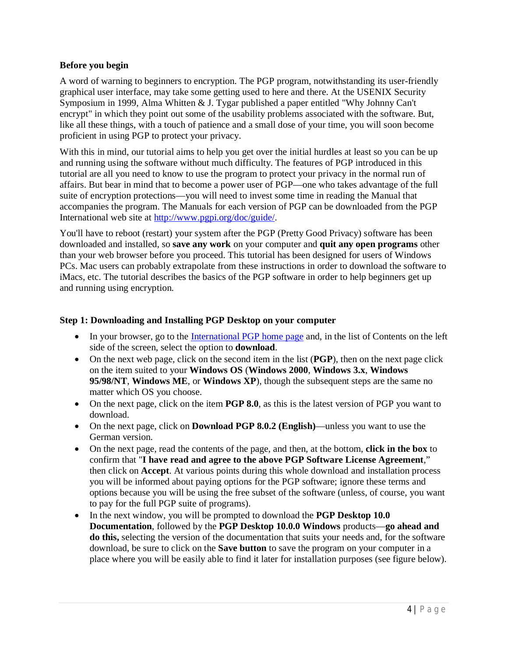### **Before you begin**

A word of warning to beginners to encryption. The PGP program, notwithstanding its user-friendly graphical user interface, may take some getting used to here and there. At the USENIX Security Symposium in 1999, Alma Whitten & J. Tygar published a paper entitled "Why Johnny Can't encrypt" in which they point out some of the usability problems associated with the software. But, like all these things, with a touch of patience and a small dose of your time, you will soon become proficient in using PGP to protect your privacy.

With this in mind, our tutorial aims to help you get over the initial hurdles at least so you can be up and running using the software without much difficulty. The features of PGP introduced in this tutorial are all you need to know to use the program to protect your privacy in the normal run of affairs. But bear in mind that to become a power user of PGP—one who takes advantage of the full suite of encryption protections—you will need to invest some time in reading the Manual that accompanies the program. The Manuals for each version of PGP can be downloaded from the PGP International web site at http://www.pgpi.org/doc/guide/.

You'll have to reboot (restart) your system after the PGP (Pretty Good Privacy) software has been downloaded and installed, so **save any work** on your computer and **quit any open programs** other than your web browser before you proceed. This tutorial has been designed for users of Windows PCs. Mac users can probably extrapolate from these instructions in order to download the software to iMacs, etc. The tutorial describes the basics of the PGP software in order to help beginners get up and running using encryption.

#### **Step 1: Downloading and Installing PGP Desktop on your computer**

- In your browser, go to the International PGP home page and, in the list of Contents on the left side of the screen, select the option to **download**.
- On the next web page, click on the second item in the list (**PGP**), then on the next page click on the item suited to your **Windows OS** (**Windows 2000**, **Windows 3.x**, **Windows 95/98/NT**, **Windows ME**, or **Windows XP**), though the subsequent steps are the same no matter which OS you choose.
- On the next page, click on the item **PGP 8.0**, as this is the latest version of PGP you want to download.
- On the next page, click on **Download PGP 8.0.2 (English)**—unless you want to use the German version.
- On the next page, read the contents of the page, and then, at the bottom, **click in the box** to confirm that "**I have read and agree to the above PGP Software License Agreement**," then click on **Accept**. At various points during this whole download and installation process you will be informed about paying options for the PGP software; ignore these terms and options because you will be using the free subset of the software (unless, of course, you want to pay for the full PGP suite of programs).
- In the next window, you will be prompted to download the **PGP Desktop 10.0 Documentation**, followed by the **PGP Desktop 10.0.0 Windows** products—**go ahead and do this,** selecting the version of the documentation that suits your needs and, for the software download, be sure to click on the **Save button** to save the program on your computer in a place where you will be easily able to find it later for installation purposes (see figure below).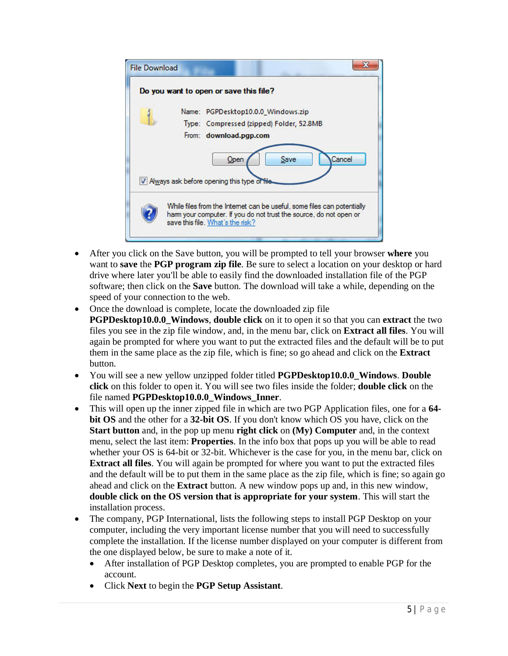

- After you click on the Save button, you will be prompted to tell your browser **where** you want to **save** the **PGP program zip file**. Be sure to select a location on your desktop or hard drive where later you'll be able to easily find the downloaded installation file of the PGP software; then click on the **Save** button. The download will take a while, depending on the speed of your connection to the web.
- Once the download is complete, locate the downloaded zip file **PGPDesktop10.0.0\_Windows**, **double click** on it to open it so that you can **extract** the two files you see in the zip file window, and, in the menu bar, click on **Extract all files**. You will again be prompted for where you want to put the extracted files and the default will be to put them in the same place as the zip file, which is fine; so go ahead and click on the **Extract** button.
- You will see a new yellow unzipped folder titled **PGPDesktop10.0.0** Windows. Double **click** on this folder to open it. You will see two files inside the folder; **double click** on the file named **PGPDesktop10.0.0\_Windows\_Inner**.
- This will open up the inner zipped file in which are two PGP Application files, one for a **64 bit OS** and the other for a **32-bit OS**. If you don't know which OS you have, click on the **Start button** and, in the pop up menu **right click** on **(My) Computer** and, in the context menu, select the last item: **Properties**. In the info box that pops up you will be able to read whether your OS is 64-bit or 32-bit. Whichever is the case for you, in the menu bar, click on **Extract all files**. You will again be prompted for where you want to put the extracted files and the default will be to put them in the same place as the zip file, which is fine; so again go ahead and click on the **Extract** button. A new window pops up and, in this new window, **double click on the OS version that is appropriate for your system**. This will start the installation process.
- The company, PGP International, lists the following steps to install PGP Desktop on your computer, including the very important license number that you will need to successfully complete the installation. If the license number displayed on your computer is different from the one displayed below, be sure to make a note of it.
	- After installation of PGP Desktop completes, you are prompted to enable PGP for the account.
	- Click **Next** to begin the **PGP Setup Assistant**.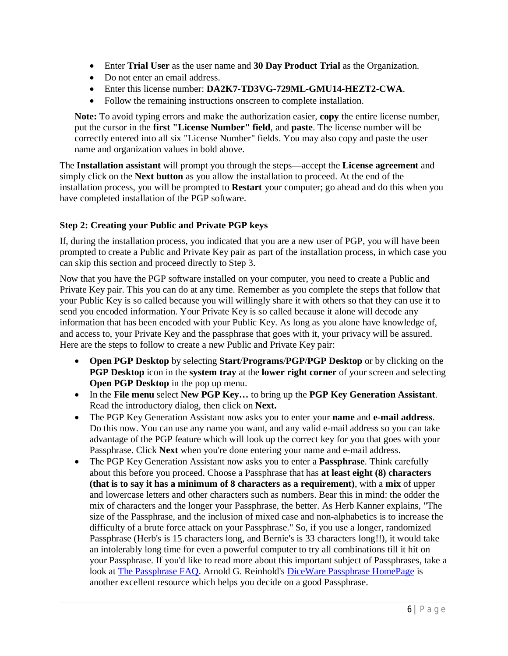- Enter **Trial User** as the user name and **30 Day Product Trial** as the Organization.
- Do not enter an email address.
- Enter this license number: **DA2K7-TD3VG-729ML-GMU14-HEZT2-CWA**.
- Follow the remaining instructions onscreen to complete installation.

**Note:** To avoid typing errors and make the authorization easier, **copy** the entire license number, put the cursor in the **first "License Number" field**, and **paste**. The license number will be correctly entered into all six "License Number" fields. You may also copy and paste the user name and organization values in bold above.

The **Installation assistant** will prompt you through the steps—accept the **License agreement** and simply click on the **Next button** as you allow the installation to proceed. At the end of the installation process, you will be prompted to **Restart** your computer; go ahead and do this when you have completed installation of the PGP software.

# **Step 2: Creating your Public and Private PGP keys**

If, during the installation process, you indicated that you are a new user of PGP, you will have been prompted to create a Public and Private Key pair as part of the installation process, in which case you can skip this section and proceed directly to Step 3.

Now that you have the PGP software installed on your computer, you need to create a Public and Private Key pair. This you can do at any time. Remember as you complete the steps that follow that your Public Key is so called because you will willingly share it with others so that they can use it to send you encoded information. Your Private Key is so called because it alone will decode any information that has been encoded with your Public Key. As long as you alone have knowledge of, and access to, your Private Key and the passphrase that goes with it, your privacy will be assured. Here are the steps to follow to create a new Public and Private Key pair:

- **Open PGP Desktop** by selecting **Start**/**Programs**/**PGP**/**PGP Desktop** or by clicking on the **PGP Desktop** icon in the **system tray** at the **lower right corner** of your screen and selecting **Open PGP Desktop** in the pop up menu.
- In the **File menu** select **New PGP Key…** to bring up the **PGP Key Generation Assistant**. Read the introductory dialog, then click on **Next.**
- The PGP Key Generation Assistant now asks you to enter your **name** and **e-mail address**. Do this now. You can use any name you want, and any valid e-mail address so you can take advantage of the PGP feature which will look up the correct key for you that goes with your Passphrase. Click **Next** when you're done entering your name and e-mail address.
- The PGP Key Generation Assistant now asks you to enter a **Passphrase**. Think carefully about this before you proceed. Choose a Passphrase that has **at least eight (8) characters (that is to say it has a minimum of 8 characters as a requirement)**, with a **mix** of upper and lowercase letters and other characters such as numbers. Bear this in mind: the odder the mix of characters and the longer your Passphrase, the better. As Herb Kanner explains, "The size of the Passphrase, and the inclusion of mixed case and non-alphabetics is to increase the difficulty of a brute force attack on your Passphrase." So, if you use a longer, randomized Passphrase (Herb's is 15 characters long, and Bernie's is 33 characters long!!), it would take an intolerably long time for even a powerful computer to try all combinations till it hit on your Passphrase. If you'd like to read more about this important subject of Passphrases, take a look at The Passphrase FAQ. Arnold G. Reinhold's DiceWare Passphrase HomePage is another excellent resource which helps you decide on a good Passphrase.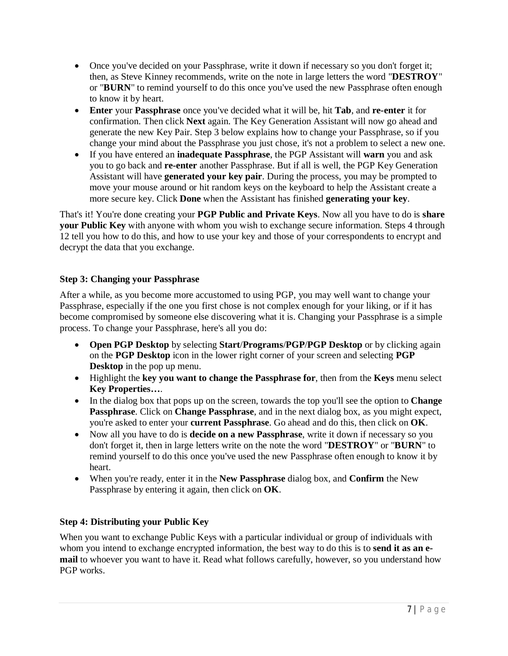- Once you've decided on your Passphrase, write it down if necessary so you don't forget it; then, as Steve Kinney recommends, write on the note in large letters the word "**DESTROY**" or "**BURN**" to remind yourself to do this once you've used the new Passphrase often enough to know it by heart.
- **Enter** your **Passphrase** once you've decided what it will be, hit **Tab**, and **re-enter** it for confirmation. Then click **Next** again. The Key Generation Assistant will now go ahead and generate the new Key Pair. Step 3 below explains how to change your Passphrase, so if you change your mind about the Passphrase you just chose, it's not a problem to select a new one.
- If you have entered an **inadequate Passphrase**, the PGP Assistant will **warn** you and ask you to go back and **re-enter** another Passphrase. But if all is well, the PGP Key Generation Assistant will have **generated your key pair**. During the process, you may be prompted to move your mouse around or hit random keys on the keyboard to help the Assistant create a more secure key. Click **Done** when the Assistant has finished **generating your key**.

That's it! You're done creating your **PGP Public and Private Keys**. Now all you have to do is **share your Public Key** with anyone with whom you wish to exchange secure information. Steps 4 through 12 tell you how to do this, and how to use your key and those of your correspondents to encrypt and decrypt the data that you exchange.

# **Step 3: Changing your Passphrase**

After a while, as you become more accustomed to using PGP, you may well want to change your Passphrase, especially if the one you first chose is not complex enough for your liking, or if it has become compromised by someone else discovering what it is. Changing your Passphrase is a simple process. To change your Passphrase, here's all you do:

- **Open PGP Desktop** by selecting **Start**/**Programs**/**PGP**/**PGP Desktop** or by clicking again on the **PGP Desktop** icon in the lower right corner of your screen and selecting **PGP Desktop** in the pop up menu.
- Highlight the **key you want to change the Passphrase for**, then from the **Keys** menu select **Key Properties…**.
- In the dialog box that pops up on the screen, towards the top you'll see the option to **Change Passphrase**. Click on **Change Passphrase**, and in the next dialog box, as you might expect, you're asked to enter your **current Passphrase**. Go ahead and do this, then click on **OK**.
- Now all you have to do is **decide on a new Passphrase**, write it down if necessary so you don't forget it, then in large letters write on the note the word "**DESTROY**" or "**BURN**" to remind yourself to do this once you've used the new Passphrase often enough to know it by heart.
- When you're ready, enter it in the **New Passphrase** dialog box, and **Confirm** the New Passphrase by entering it again, then click on **OK**.

# **Step 4: Distributing your Public Key**

When you want to exchange Public Keys with a particular individual or group of individuals with whom you intend to exchange encrypted information, the best way to do this is to **send it as an email** to whoever you want to have it. Read what follows carefully, however, so you understand how PGP works.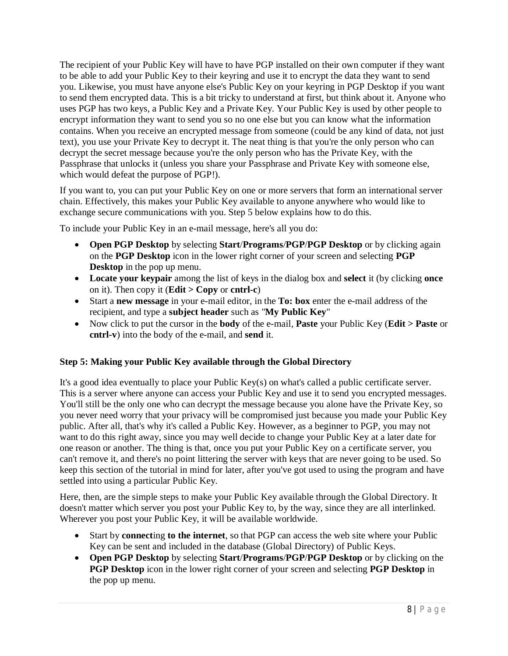The recipient of your Public Key will have to have PGP installed on their own computer if they want to be able to add your Public Key to their keyring and use it to encrypt the data they want to send you. Likewise, you must have anyone else's Public Key on your keyring in PGP Desktop if you want to send them encrypted data. This is a bit tricky to understand at first, but think about it. Anyone who uses PGP has two keys, a Public Key and a Private Key. Your Public Key is used by other people to encrypt information they want to send you so no one else but you can know what the information contains. When you receive an encrypted message from someone (could be any kind of data, not just text), you use your Private Key to decrypt it. The neat thing is that you're the only person who can decrypt the secret message because you're the only person who has the Private Key, with the Passphrase that unlocks it (unless you share your Passphrase and Private Key with someone else, which would defeat the purpose of PGP!).

If you want to, you can put your Public Key on one or more servers that form an international server chain. Effectively, this makes your Public Key available to anyone anywhere who would like to exchange secure communications with you. Step 5 below explains how to do this.

To include your Public Key in an e-mail message, here's all you do:

- **Open PGP Desktop** by selecting **Start**/**Programs**/**PGP**/**PGP Desktop** or by clicking again on the **PGP Desktop** icon in the lower right corner of your screen and selecting **PGP Desktop** in the pop up menu.
- **Locate your keypair** among the list of keys in the dialog box and **select** it (by clicking **once** on it). Then copy it (**Edit > Copy** or **cntrl-c**)
- Start a **new message** in your e-mail editor, in the **To: box** enter the e-mail address of the recipient, and type a **subject header** such as "**My Public Key**"
- Now click to put the cursor in the **body** of the e-mail, **Paste** your Public Key (**Edit > Paste** or **cntrl-v**) into the body of the e-mail, and **send** it.

# **Step 5: Making your Public Key available through the Global Directory**

It's a good idea eventually to place your Public Key(s) on what's called a public certificate server. This is a server where anyone can access your Public Key and use it to send you encrypted messages. You'll still be the only one who can decrypt the message because you alone have the Private Key, so you never need worry that your privacy will be compromised just because you made your Public Key public. After all, that's why it's called a Public Key. However, as a beginner to PGP, you may not want to do this right away, since you may well decide to change your Public Key at a later date for one reason or another. The thing is that, once you put your Public Key on a certificate server, you can't remove it, and there's no point littering the server with keys that are never going to be used. So keep this section of the tutorial in mind for later, after you've got used to using the program and have settled into using a particular Public Key.

Here, then, are the simple steps to make your Public Key available through the Global Directory. It doesn't matter which server you post your Public Key to, by the way, since they are all interlinked. Wherever you post your Public Key, it will be available worldwide.

- Start by **connect**ing **to the internet**, so that PGP can access the web site where your Public Key can be sent and included in the database (Global Directory) of Public Keys.
- **Open PGP Desktop** by selecting **Start**/**Programs**/**PGP**/**PGP Desktop** or by clicking on the **PGP Desktop** icon in the lower right corner of your screen and selecting **PGP Desktop** in the pop up menu.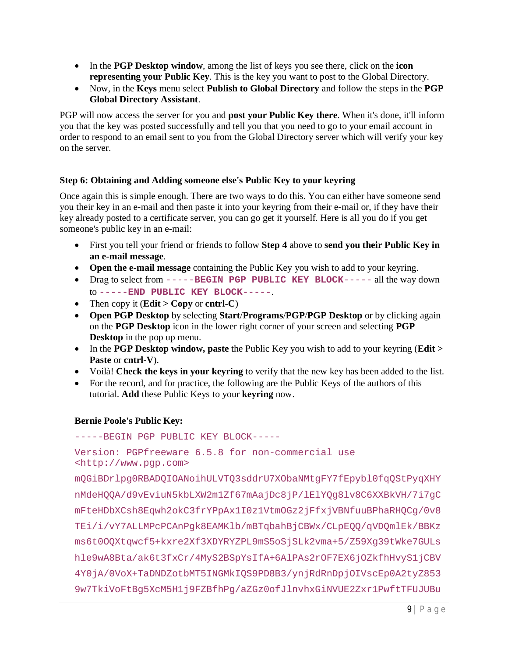- In the **PGP Desktop window**, among the list of keys you see there, click on the **icon representing your Public Key**. This is the key you want to post to the Global Directory.
- Now, in the **Keys** menu select **Publish to Global Directory** and follow the steps in the **PGP Global Directory Assistant**.

PGP will now access the server for you and **post your Public Key there**. When it's done, it'll inform you that the key was posted successfully and tell you that you need to go to your email account in order to respond to an email sent to you from the Global Directory server which will verify your key on the server.

### **Step 6: Obtaining and Adding someone else's Public Key to your keyring**

Once again this is simple enough. There are two ways to do this. You can either have someone send you their key in an e-mail and then paste it into your keyring from their e-mail or, if they have their key already posted to a certificate server, you can go get it yourself. Here is all you do if you get someone's public key in an e-mail:

- First you tell your friend or friends to follow **Step 4** above to **send you their Public Key in an e-mail message**.
- **Open the e-mail message** containing the Public Key you wish to add to your keyring.
- Drag to select from -----**BEGIN PGP PUBLIC KEY BLOCK**----- all the way down to **-----END PUBLIC KEY BLOCK-----**.
- Then copy it  $(\text{Edit} > \text{Copy} \text{ or } \text{cntrl-C})$
- **Open PGP Desktop** by selecting **Start**/**Programs**/**PGP**/**PGP Desktop** or by clicking again on the **PGP Desktop** icon in the lower right corner of your screen and selecting **PGP Desktop** in the pop up menu.
- In the **PGP Desktop window, paste** the Public Key you wish to add to your keyring (**Edit** > **Paste** or **cntrl-V**).
- Voilà! **Check the keys in your keyring** to verify that the new key has been added to the list.
- For the record, and for practice, the following are the Public Keys of the authors of this tutorial. **Add** these Public Keys to your **keyring** now.

# **Bernie Poole's Public Key:**

-----BEGIN PGP PUBLIC KEY BLOCK----- Version: PGPfreeware 6.5.8 for non-commercial use <http://www.pgp.com>

mQGiBDrlpg0RBADQIOANoihULVTQ3sddrU7XObaNMtgFY7fEpybl0fqQStPyqXHY nMdeHQQA/d9vEviuN5kbLXW2m1Zf67mAajDc8jP/lElYQg8lv8C6XXBkVH/7i7gC mFteHDbXCsh8Eqwh2okC3frYPpAx1I0z1VtmOGz2jFfxjVBNfuuBPhaRHQCg/0v8 TEi/i/vY7ALLMPcPCAnPgk8EAMKlb/mBTqbahBjCBWx/CLpEQQ/qVDQmlEk/BBKz ms6t0OQXtqwcf5+kxre2Xf3XDYRYZPL9mS5oSjSLk2vma+5/Z59Xg39tWke7GULs hle9wA8Bta/ak6t3fxCr/4MyS2BSpYsIfA+6AlPAs2rOF7EX6jOZkfhHvyS1jCBV 4Y0jA/0VoX+TaDNDZotbMT5INGMkIQS9PD8B3/ynjRdRnDpjOIVscEp0A2tyZ853 9w7TkiVoFtBg5XcM5H1j9FZBfhPg/aZGz0ofJlnvhxGiNVUE2Zxr1PwftTFUJUBu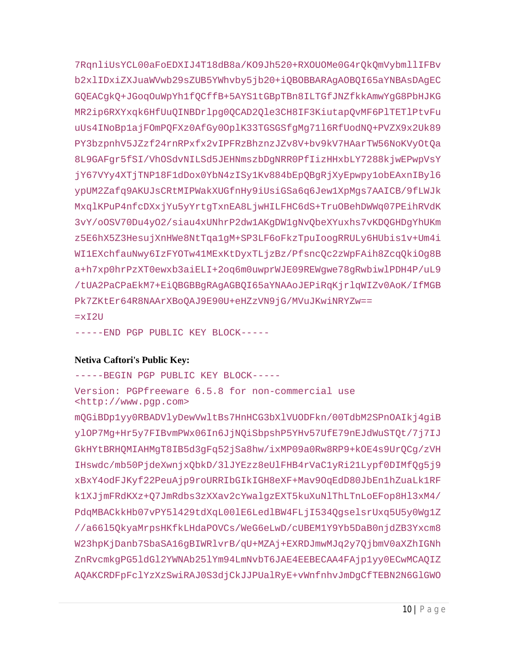7RqnliUsYCL00aFoEDXIJ4T18dB8a/KO9Jh520+RXOUOMe0G4rQkQmVybmllIFBv b2xlIDxiZXJuaWVwb29sZUB5YWhvby5jb20+iQBOBBARAgAOBQI65aYNBAsDAgEC GOEACqkO+JGoqOuWpYhlfOCffB+5AYSltGBpTBn8ILTGfJNZfkkAmwYqG8PbHJKG MR2ip6RXYxqk6HfUuQINBDrlpg0QCAD2Qle3CH8IF3KiutapQvMF6PlTETlPtvFu uUs4INoBplajFOmPQFXz0AfGy0OplK33TGSGSfgMg7116RfUodNQ+PVZX9x2Uk89 PY3bzpnhV5JZzf24rnRPxfx2vIPFRzBhznzJZv8V+bv9kV7HAarTW56NoKVyOtQa 8L9GAFgr5fSI/VhOSdvNILSd5JEHNmszbDgNRR0PfIizHHxbLY7288kjwEPwpVsY jY67VYy4XTjTNP18F1dDox0YbN4zISy1Kv884bEpQBgRjXyEpwpy1obEAxnIBy16 ypUM2Zafq9AKUJsCRtMIPWakXUGfnHy9iUsiGSa6q6Jew1XpMgs7AAICB/9fLWJk MxqlKPuP4nfcDXxjYu5yYrtgTxnEA8LjwHILFHC6dS+TruOBehDWWq07PEihRVdK 3vY/oOSV70Du4yO2/siau4xUNhrP2dw1AKqDW1qNvQbeXYuxhs7vKDQGHDqYhUKm z5E6hX5Z3HesujXnHWe8NtTqa1qM+SP3LF6oFkzTpuIooqRRULy6HUbis1v+Um4i WI1EXchfauNwy6IzFYOTw41MExKtDyxTLjzBz/PfsncQc2zWpFAih8ZcqQkiOg8B a+h7xp0hrPzXT0ewxb3aiELI+2oq6m0uwprWJE09REWqwe78qRwbiwlPDH4P/uL9 /tUA2PaCPaEkM7+EiQBGBBgRAgAGBQI65aYNAAoJEPiRqKjrlqWIZv0AoK/IfMGB Pk7ZKtEr64R8NAArXBoQAJ9E90U+eHZzVN9jG/MVuJKwiNRYZw==  $=xI2U$ 

-----END PGP PUBLIC KEY BLOCK-----

### **Netiva Caftori's Public Key:**

-----BEGIN PGP PUBLIC KEY BLOCK-----

Version: PGPfreeware 6.5.8 for non-commercial use <http://www.pqp.com>

mQGiBDp1yy0RBADV1yDewVwltBs7HnHCG3bX1VUODFkn/00TdbM2SPnOAIkj4qiB ylOP7Mg+Hr5y7FIBvmPWx06In6JjNQiSbpshP5YHv57UfE79nEJdWuSTQt/7j7IJ GkHYtBRHQMIAHMgT8IB5d3gFq52jSa8hw/ixMP09a0Rw8RP9+kOE4s9UrQCg/zVH IHswdc/mb50PjdeXwnjxQbkD/3lJYEzz8eUlFHB4rVaC1yRi21Lypf0DIMfQg5j9 xBxY4odFJKyf22PeuAjp9roURRIbGIkIGH8eXF+Mav9OqEdD80JbEn1hZuaLk1RF k1XJjmFRdKXz+Q7JmRdbs3zXXav2cYwalgzEXT5kuXuNlThLTnLoEFop8Hl3xM4/ PdgMBACkkHb07vPY51429tdXqL001E6Led1BW4FLjI534OqselsrUxq5U5y0Wq1Z //a6615QkyaMrpsHKfkLHdaPOVCs/WeG6eLwD/cUBEM1Y9Yb5DaB0njdZB3Yxcm8 W23hpKjDanb7SbaSA16qBIWRlvrB/qU+MZAj+EXRDJmwMJq2y70jbmV0aXZhIGNh ZnRvcmkgPG51dG12YWNAb251Ym94LmNvbT6JAE4EEBECAA4FAjp1yy0ECwMCAQIZ AQAKCRDFpFclYzXzSwiRAJ0S3djCkJJPUalRyE+vWnfnhvJmDqCfTEBN2N6GlGWO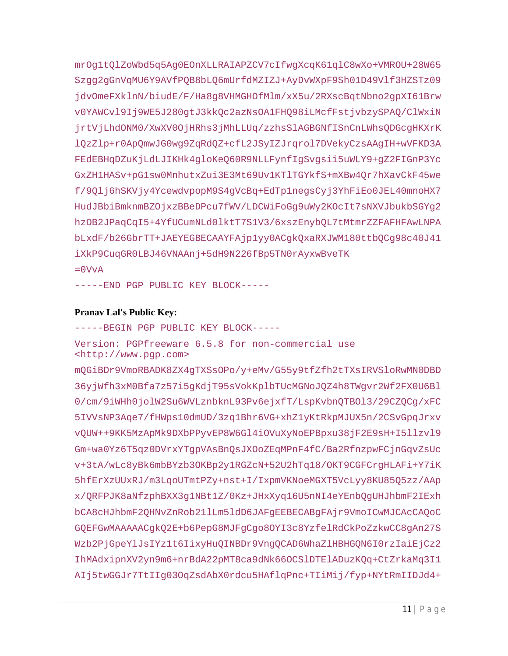mrOq1tOlZoWbd5q5Aq0EOnXLLRAIAPZCV7cIfwqXcqK61qlC8wXo+VMROU+28W65 Szqq2qGnVqMU6Y9AVfPOB8bLO6mUrfdMZIZJ+AyDvWXpF9Sh01D49Vlf3HZSTz09 jdvOmeFXklnN/biudE/F/Ha8q8VHMGHOfMlm/xX5u/2RXscBqtNbno2qpXI61Brw v0YAWCvl9Ij9WE5J280gtJ3kkQc2azNsOA1FHQ98iLMcfFstjvbzySPAQ/ClWxiN jrtVjLhdONM0/XwXV00jHRhs3jMhLLUq/zzhsSlAGBGNfISnCnLWhsQDGcgHKXrK l0zZlp+r0Ap0mwJG0wq9ZqRd0Z+cfL2JSyIZJrqrol7DVekyCzsAAqIH+wVFKD3A FEdEBHqDZuKjLdLJIKHk4gloKeQ60R9NLLFynfIgSvgsii5uWLY9+gZ2FIGnP3Yc GxZH1HASv+pG1sw0MnhutxZui3E3Mt69Uv1KT1TGYkfS+mXBw4Qr7hXavCkF45we f/9Qlj6hSKVjy4YcewdvpopM9S4gVcBq+EdTp1negsCyj3YhFiEo0JEL40mnoHX7 HudJBbiBmknmBZOjxzBBeDPcu7fWV/LDCWiFoGg9uWy2KOcIt7sNXVJbukbSGYg2 hzOB2JPaqCqI5+4YfUCumNLd0lktT7S1V3/6xszEnybOL7tMtmrZZFAFHFAwLNPA bLxdF/b26GbrTT+JAEYEGBECAAYFAjp1yy0ACqkOxaRXJWM180ttbOCq98c40J41 iXkP9CuqGR0LBJ46VNAAnj+5dH9N226fBp5TN0rAyxwBveTK

 $=0VvA$ 

-----END PGP PUBLIC KEY BLOCK-----

#### **Pranav Lal's Public Key:**

-----BEGIN PGP PUBLIC KEY BLOCK-----Version: PGPfreeware 6.5.8 for non-commercial use <http://www.pgp.com> mQGiBDr9VmoRBADK8ZX4qTXSsOPo/y+eMv/G55y9tfZfh2tTXsIRVSloRwMN0DBD 36yjWfh3xM0Bfa7z57i5gKdjT95sVokKplbTUcMGNoJQZ4h8TWgvr2Wf2FX0U6Bl 0/cm/9iWHh0jolW2Su6WVLznbknL93Pv6ejxfT/LspKvbnOTBOl3/29CZOCq/xFC 5IVVsNP3Aqe7/fHWps10dmUD/3zq1Bhr6VG+xhZ1yKtRkpMJUX5n/2CSvGpqJrxv vQUW++9KK5MzApMk9DXbPPyvEP8W6Gl4iOVuXyNoEPBpxu38jF2E9sH+I5llzvl9 Gm+wa0Yz6T5qz0DVrxYTgpVAsBnQsJXOoZEqMPnF4fC/Ba2RfnzpwFCjnGqvZsUc v+3tA/wLc8yBk6mbBYzb30KBp2y1RGZcN+52U2hTq18/OKT9CGFCrgHLAFi+Y7iK 5hfErXzUUxRJ/m3LqoUTmtPZy+nst+I/IxpmVKNoeMGXT5VcLyy8KU85Q5zz/AAp x/QRFPJK8aNfzphBXX3g1NBt1Z/0Kz+JHxXyq16U5nNI4eYEnbQgUHJhbmF2IExh bCA8cHJhbmF2OHNvZnRob211Lm51dD6JAFqEEBECABqFAjr9VmoICwMJCAcCAOoC GQEFGwMAAAAACgkQ2E+b6PepG8MJFgCgo8OYI3c8YzfelRdCkPoZzkwCC8gAn27S Wzb2PjGpeYlJsIYz1t6IixyHuQINBDr9VnqQCAD6WhaZlHBHGQN6I0rzIaiEjCz2 IhMAdxipnXV2yn9m6+nrBdA22pMT8ca9dNk66OCSlDTElADuzKQq+CtZrkaMq3I1 AIj5twGGJr7TtIIq03OqZsdAbX0rdcu5HAf1qPnc+TIiMij/fyp+NYtRmIIDJd4+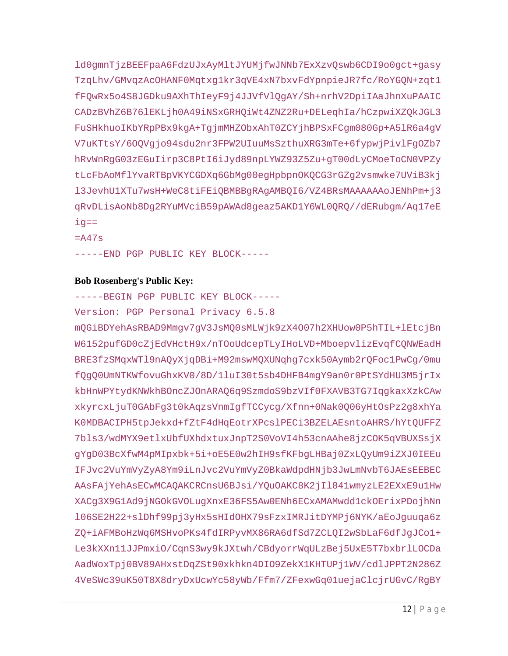ld0qmnTjzBEEFpaA6FdzUJxAyMltJYUMjfwJNNb7ExXzvQswb6CDI9o0qct+qasy TzqLhv/GMvqzAcOHANF0Mqtxg1kr3qVE4xN7bxvFdYpnpieJR7fc/RoYGQN+zqt1 fFQwRx5o4S8JGDku9AXhThIeyF9j4JJVfVlQqAY/Sh+nrhV2DpiIAaJhnXuPAAIC CADzBVhZ6B76lEKLjh0A49iNSxGRHQiWt4ZNZ2Ru+DELeqhIa/hCzpwiXZQkJGL3 FuSHkhuoIKbYRpPBx9kgA+TgjmMHZObxAhT0ZCYjhBPSxFCgm080Gp+A5lR6a4gV V7uKTtsY/600Vqjo94sdu2nr3FPW2UIuuMsSzthuXRG3mTe+6fypwjPivlFq0Zb7 hRvWnRgG03zEGuIirp3C8PtI6iJyd89npLYWZ93Z5Zu+gT00dLyCMoeToCN0VPZy tLcFbAoMflYvaRTBpVKYCGDXq6GbMg00egHpbpnOKQCG3rGZq2vsmwke7UViB3kj 13JevhU1XTu7wsH+WeC8tiFEiQBMBBgRAgAMBQI6/VZ4BRsMAAAAAAoJENhPm+j3 qRvDLisAoNb8Dg2RYuMVciB59pAWAd8geaz5AKD1Y6WL0QRQ//dERubgm/Aq17eE  $iq ==$ 

 $=$ A47s

-----END PGP PUBLIC KEY BLOCK-----

#### **Bob Rosenberg's Public Key:**

-----BEGIN PGP PUBLIC KEY BLOCK-----

Version: PGP Personal Privacy 6.5.8

mQGiBDYehAsRBAD9Mmgv7gV3JsMQ0sMLWjk9zX4007h2XHUow0P5hTIL+lEtcjBn W6152pufGD0cZjEdVHctH9x/nTOoUdcepTLyIHoLVD+MboepvlizEvqfCQNWEadH BRE3fzSMqxWTl9nAQyXjqDBi+M92mswMQXUNqhg7cxk50Aymb2rQFoc1PwCg/0mu f0q00UmNTKWfovuGhxKV0/8D/11uI30t5sb4DHFB4mqY9an0r0PtSYdHU3M5jrIx kbHnWPYtydKNWkhBOncZJOnARAQ6q9SzmdoS9bzVIf0FXAVB3TG7IqqkaxXzkCAw xkyrcxLjuT0GAbFq3t0kAqzsVnmIqfTCCycq/Xfnn+0Nak0Q06yHtOsPz2q8xhYa KOMDBACIPH5tpJekxd+fZtF4dHqEotrXPcslPECi3BZELAEsntoAHRS/hYtQUFFZ 7bls3/wdMYX9etlxUbfUXhdxtuxJnpT2S0VoVI4h53cnAAhe8jzCOK5qVBUXSsjX gYgD03BcXfwM4pMIpxbk+5i+oE5E0w2hIH9sfKFbgLHBaj0ZxLQyUm9iZXJ0IEEu IFJvc2VuYmVyZyA8Ym9iLnJvc2VuYmVyZ0BkaWdpdHNjb3JwLmNvbT6JAEsEEBEC AASFAjYehAsECwMCAQAKCRCnsU6BJsi/YQuOAKC8K2jIl841wmyzLE2EXxE9u1Hw XACg3X9G1Ad9jNGOkGVOLugXnxE36FS5Aw0ENh6ECxAMAMwdd1ckOErixPDojhNn 106SE2H22+slDhf99pj3yHx5sHIdOHX79sFzxIMRJitDYMPj6NYK/aEoJquuqa6z ZQ+iAFMBoHzWq6MSHvoPKs4fdIRPyvMX86RA6dfSd7ZCLQI2wSbLaF6dfJgJCo1+ Le3kXXn11JJPmxiO/CqnS3wy9kJXtwh/CBdyorrWqULzBej5UxE5T7bxbrlLOCDa AadWoxTpj0BV89AHxstDqZSt90xkhkn4DIO9ZekX1KHTUPj1WV/cdlJPPT2N286Z 4VeSWc39uK50T8X8dryDxUcwYc58yWb/Ffm7/ZFexwGq01uejaClcjrUGvC/RqBY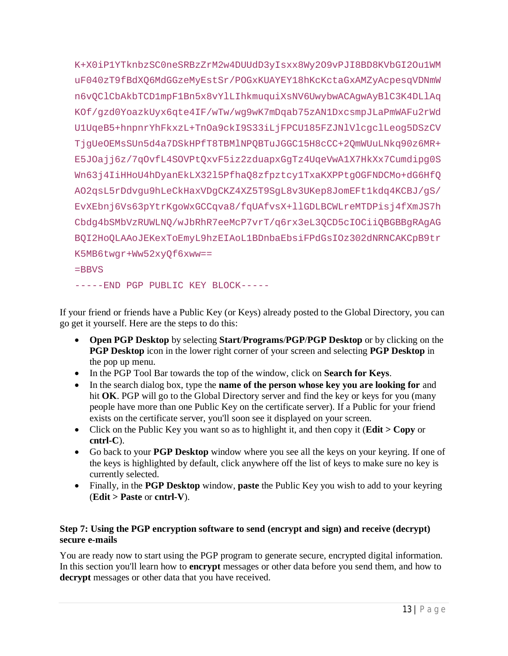K+X0iP1YTknbzSC0neSRBzZrM2w4DUUdD3yIsxx8Wy2O9vPJI8BD8KVbGI2Ou1WM uF040zT9fBdXO6MdGGzeMyEstSr/POGxKUAYEY18hKcKctaGxAMZyAcpesqVDNmW n6vOClCbAkbTCD1mpF1Bn5x8vYlLIhkmuquiXsNV6UwybwACAqwAyBlC3K4DLlAq KOf/gzd0YoazkUyx6qte4IF/wTw/wg9wK7mDqab75zAN1DxcsmpJLaPmWAFu2rWd UlUqeB5+hnpnrYhFkxzL+TnOa9ckI9S33iLjFPCU185FZJNlVlcgclLeog5DSzCV TjqUeOEMsSUn5d4a7DSkHPfT8TBMlNPQBTuJGGC15H8cCC+2QmWUuLNkq90z6MR+ E5JOajj6z/7qOvfL4SOVPtQxvF5iz2zduapxGgTz4UqeVwA1X7HkXx7Cumdipg0S Wn63j4IiHHoU4hDyanEkLX32l5PfhaQ8zfpztcy1TxaKXPPtgOGFNDCMo+dG6HfQ AO2qsL5rDdvgu9hLeCkHaxVDgCKZ4XZ5T9SgL8v3UKep8JomEFt1kdq4KCBJ/gS/ EvXEbnj6Vs63pYtrKgoWxGCCqva8/fqUAfvsX+llGDLBCWLreMTDPisj4fXmJS7h Cbdg4bSMbVzRUWLNQ/wJbRhR7eeMcP7vrT/q6rx3eL3QCD5cIOCiiQBGBBgRAgAG BOI2HoOLAAoJEKexToEmyL9hzEIAoL1BDnbaEbsiFPdGsIOz302dNRNCAKCpB9tr K5MB6twgr+Ww52xyOf6xww==

```
=BBVS
```
-----END PGP PUBLIC KEY BLOCK-----

If your friend or friends have a Public Key (or Keys) already posted to the Global Directory, you can go get it yourself. Here are the steps to do this:

- Open PGP Desktop by selecting Start/Programs/PGP/PGP Desktop or by clicking on the PGP Desktop icon in the lower right corner of your screen and selecting PGP Desktop in the pop up menu.
- In the PGP Tool Bar towards the top of the window, click on Search for Keys.
- In the search dialog box, type the **name of the person whose key you are looking for** and hit OK. PGP will go to the Global Directory server and find the key or keys for you (many people have more than one Public Key on the certificate server). If a Public for your friend exists on the certificate server, you'll soon see it displayed on your screen.
- Click on the Public Key you want so as to highlight it, and then copy it (**Edit** > Copy or  $cntrl-C$ ).
- Go back to your **PGP Desktop** window where you see all the keys on your keyring. If one of the keys is highlighted by default, click anywhere off the list of keys to make sure no key is currently selected.
- Finally, in the PGP Desktop window, paste the Public Key you wish to add to your keyring  $(Edit > Paste or entrl-V).$

# Step 7: Using the PGP encryption software to send (encrypt and sign) and receive (decrypt) secure e-mails

You are ready now to start using the PGP program to generate secure, encrypted digital information. In this section you'll learn how to **encrypt** messages or other data before you send them, and how to **decrypt** messages or other data that you have received.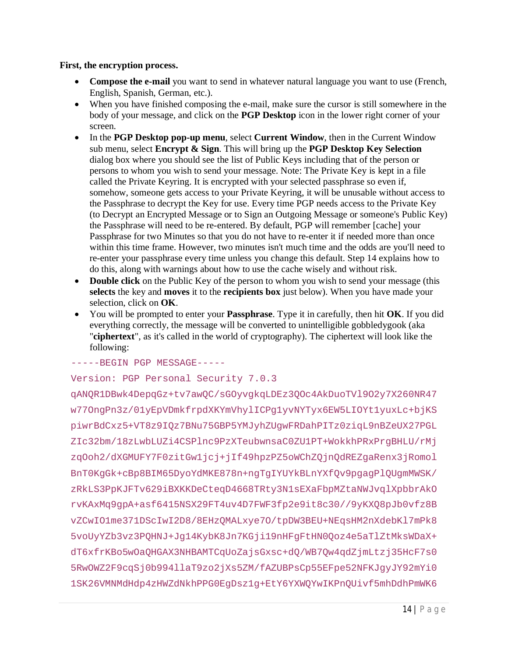#### **First, the encryption process.**

- **Compose the e-mail** you want to send in whatever natural language you want to use (French, English, Spanish, German, etc.).
- When you have finished composing the e-mail, make sure the cursor is still somewhere in the body of your message, and click on the **PGP Desktop** icon in the lower right corner of your screen.
- In the **PGP Desktop pop-up menu**, select **Current Window**, then in the Current Window sub menu, select **Encrypt & Sign**. This will bring up the **PGP Desktop Key Selection** dialog box where you should see the list of Public Keys including that of the person or persons to whom you wish to send your message. Note: The Private Key is kept in a file called the Private Keyring. It is encrypted with your selected passphrase so even if, somehow, someone gets access to your Private Keyring, it will be unusable without access to the Passphrase to decrypt the Key for use. Every time PGP needs access to the Private Key (to Decrypt an Encrypted Message or to Sign an Outgoing Message or someone's Public Key) the Passphrase will need to be re-entered. By default, PGP will remember [cache] your Passphrase for two Minutes so that you do not have to re-enter it if needed more than once within this time frame. However, two minutes isn't much time and the odds are you'll need to re-enter your passphrase every time unless you change this default. Step 14 explains how to do this, along with warnings about how to use the cache wisely and without risk.
- **Double click** on the Public Key of the person to whom you wish to send your message (this **selects** the key and **moves** it to the **recipients box** just below). When you have made your selection, click on **OK**.
- You will be prompted to enter your **Passphrase**. Type it in carefully, then hit **OK**. If you did everything correctly, the message will be converted to unintelligible gobbledygook (aka "**ciphertext**", as it's called in the world of cryptography). The ciphertext will look like the following:

-----BEGIN PGP MESSAGE-----

### Version: PGP Personal Security 7.0.3

qANQR1DBwk4DepqGz+tv7awQC/sGOyvgkqLDEz3QOc4AkDuoTVl9O2y7X260NR47 w77OngPn3z/01yEpVDmkfrpdXKYmVhylICPg1yvNYTyx6EW5LIOYt1yuxLc+bjKS piwrBdCxz5+VT8z9IQz7BNu75GBP5YMJyhZUgwFRDahPITz0ziqL9nBZeUX27PGL ZIc32bm/18zLwbLUZi4CSPlnc9PzXTeubwnsaC0ZU1PT+WokkhPRxPrgBHLU/rMj zqOoh2/dXGMUFY7F0zitGw1jcj+jIf49hpzPZ5oWChZQjnQdREZgaRenx3jRomol BnT0KgGk+cBp8BIM65DyoYdMKE878n+ngTgIYUYkBLnYXfQv9pgagPlQUgmMWSK/ zRkLS3PpKJFTv629iBXKKDeCteqD4668TRty3N1sEXaFbpMZtaNWJvqlXpbbrAkO rvKAxMq9gpA+asf6415NSX29FT4uv4D7FWF3fp2e9it8c30//9yKXQ8pJb0vfz8B vZCwIO1me371DScIwI2D8/8EHzQMALxye7O/tpDW3BEU+NEqsHM2nXdebKl7mPk8 5voUyYZb3vz3PQHNJ+Jg14KybK8Jn7KGji19nHFgFtHN0Qoz4e5aTlZtMksWDaX+ dT6xfrKBo5wOaQHGAX3NHBAMTCqUoZajsGxsc+dQ/WB7Qw4qdZjmLtzj35HcF7s0 5RwOWZ2F9cqSj0b994llaT9zo2jXs5ZM/fAZUBPsCp55EFpe52NFKJgyJY92mYi0 1SK26VMNMdHdp4zHWZdNkhPPG0EgDsz1g+EtY6YXWQYwIKPnQUivf5mhDdhPmWK6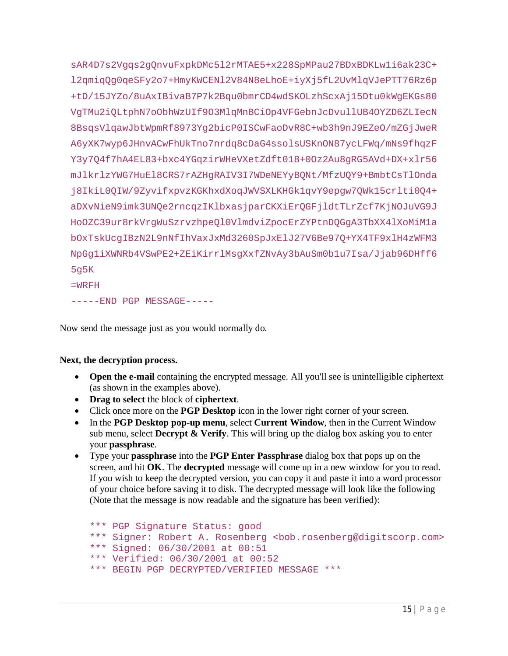sAR4D7s2Vqqs2qQnvuFxpkDMc5l2rMTAE5+x228SpMPau27BDxBDKLwli6ak23C+ l2qmiqQq0qeSFy2o7+HmyKWCENl2V84N8eLhoE+iyXj5fL2UvMlqVJePTT76Rz6p +tD/15JYZo/8uAxIBivaB7P7k2Bqu0bmrCD4wdSKOLzhScxAj15Dtu0kWqEKGs80 VqTMu2iOLtphN7oObhWzUIf9O3MlqMnBCiOp4VFGebnJcDvullUB4OYZD6ZLIecN 8BsqsVlqawJbtWpmRf8973Yq2bicP0ISCwFaoDvR8C+wb3h9nJ9EZeO/mZGjJweR A6yXK7wyp6JHnvACwFhUkTno7nrdq8cDaG4ssolsUSKnON87ycLFWq/mNs9fhqzF Y3y7Q4f7hA4EL83+bxc4YGqzirWHeVXetZdft018+0Oz2Au8gRG5AVd+DX+xlr56 mJlkrlzYWG7HuEl8CRS7rAZHgRAIV3I7WDeNEYyBQNt/MfzUQY9+BmbtCsTlOnda j8IkiL0QIW/9ZyvifxpvzKGKhxdXoqJWVSXLKHGk1qvY9epgw7QWk15crlti0Q4+ aDXvNieN9imk3UNQe2rncqzIKlbxasjparCKXiErQGFjldtTLrZcf7KjNOJuVG9J HoOZC39ur8rkVrgWuSzrvzhpeQl0VlmdviZpocErZYPtnDQGgA3TbXX4lXoMiMla bOxTskUcqIBzN2L9nNfIhVaxJxMd3260SpJxElJ27V6Be97Q+YX4TF9x1H4zWFM3 NpGgliXWNRb4VSwPE2+ZEiKirrlMsgXxfZNvAy3bAuSm0blu7Isa/Jjab96DHff6  $5q5K$ 

 $=$ WRFH

-----END PGP MESSAGE-----

Now send the message just as you would normally do.

### Next, the decryption process.

- Open the e-mail containing the encrypted message. All you'll see is unintelligible ciphertext (as shown in the examples above).
- Drag to select the block of ciphertext.
- Click once more on the **PGP Desktop** is in the lower right corner of your screen.
- In the PGP Desktop pop-up menu, select Current Window, then in the Current Window sub menu, select Decrypt & Verify. This will bring up the dialog box asking you to enter your passphrase.
- Type your **passphrase** into the **PGP Enter Passphrase** dialog box that pops up on the screen, and hit OK. The decrypted message will come up in a new window for you to read. If you wish to keep the decrypted version, you can copy it and paste it into a word processor of your choice before saving it to disk. The decrypted message will look like the following (Note that the message is now readable and the signature has been verified):

```
*** PGP Signature Status: good
*** Signer: Robert A. Rosenberg <bob.rosenberg@digitscorp.com>
*** Signed: 06/30/2001 at 00:51
*** Verified: 06/30/2001 at 00:52
*** BEGIN PGP DECRYPTED/VERIFIED MESSAGE ***
```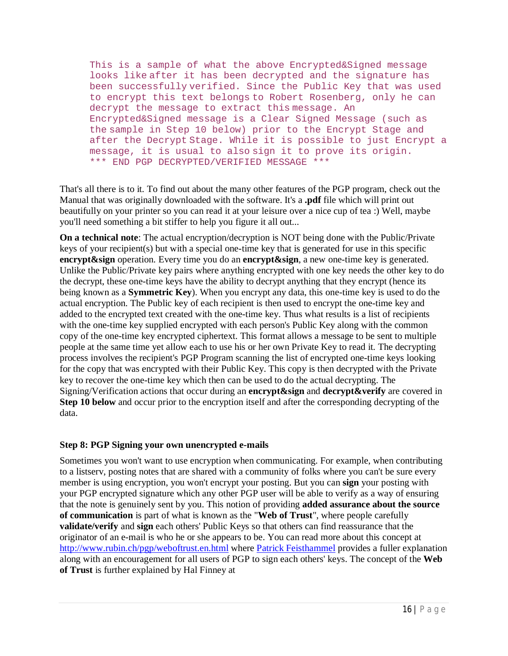This is a sample of what the above Encrypted&Signed message looks like after it has been decrypted and the signature has been successfully verified. Since the Public Key that was used to encrypt this text belongs to Robert Rosenberg, only he can decrypt the message to extract this message. An Encrypted&Signed message is a Clear Signed Message (such as the sample in Step 10 below) prior to the Encrypt Stage and after the Decrypt Stage. While it is possible to just Encrypt a message, it is usual to also sign it to prove its origin. \*\*\* END PGP DECRYPTED/VERIFIED MESSAGE \*\*\*

That's all there is to it. To find out about the many other features of the PGP program, check out the Manual that was originally downloaded with the software. It's a **.pdf** file which will print out beautifully on your printer so you can read it at your leisure over a nice cup of tea :) Well, maybe you'll need something a bit stiffer to help you figure it all out...

**On a technical note**: The actual encryption/decryption is NOT being done with the Public/Private keys of your recipient(s) but with a special one-time key that is generated for use in this specific **encrypt&sign** operation. Every time you do an **encrypt&sign**, a new one-time key is generated. Unlike the Public/Private key pairs where anything encrypted with one key needs the other key to do the decrypt, these one-time keys have the ability to decrypt anything that they encrypt (hence its being known as a **Symmetric Key**). When you encrypt any data, this one-time key is used to do the actual encryption. The Public key of each recipient is then used to encrypt the one-time key and added to the encrypted text created with the one-time key. Thus what results is a list of recipients with the one-time key supplied encrypted with each person's Public Key along with the common copy of the one-time key encrypted ciphertext. This format allows a message to be sent to multiple people at the same time yet allow each to use his or her own Private Key to read it. The decrypting process involves the recipient's PGP Program scanning the list of encrypted one-time keys looking for the copy that was encrypted with their Public Key. This copy is then decrypted with the Private key to recover the one-time key which then can be used to do the actual decrypting. The Signing/Verification actions that occur during an **encrypt&sign** and **decrypt&verify** are covered in **Step 10 below** and occur prior to the encryption itself and after the corresponding decrypting of the data.

### **Step 8: PGP Signing your own unencrypted e-mails**

Sometimes you won't want to use encryption when communicating. For example, when contributing to a listserv, posting notes that are shared with a community of folks where you can't be sure every member is using encryption, you won't encrypt your posting. But you can **sign** your posting with your PGP encrypted signature which any other PGP user will be able to verify as a way of ensuring that the note is genuinely sent by you. This notion of providing **added assurance about the source of communication** is part of what is known as the "**Web of Trust**", where people carefully **validate/verify** and **sign** each others' Public Keys so that others can find reassurance that the originator of an e-mail is who he or she appears to be. You can read more about this concept at http://www.rubin.ch/pgp/weboftrust.en.html where Patrick Feisthammel provides a fuller explanation along with an encouragement for all users of PGP to sign each others' keys. The concept of the **Web of Trust** is further explained by Hal Finney at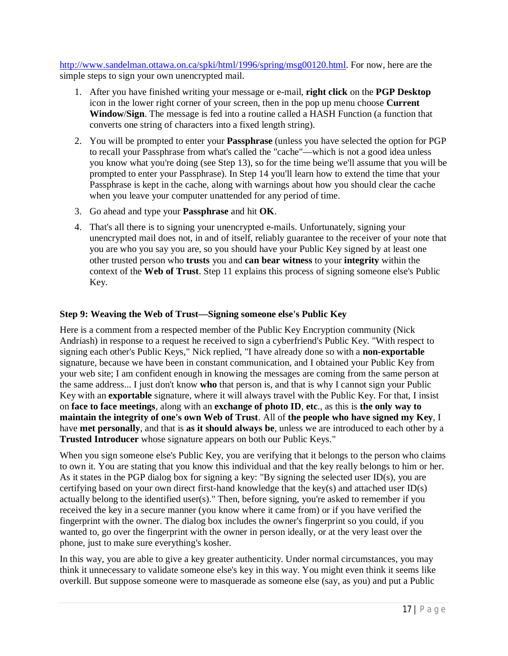http://www.sandelman.ottawa.on.ca/spki/html/1996/spring/msg00120.html. For now, here are the simple steps to sign your own unencrypted mail.

- 1. After you have finished writing your message or e-mail, **right click** on the **PGP Desktop** icon in the lower right corner of your screen, then in the pop up menu choose **Current Window**/**Sign**. The message is fed into a routine called a HASH Function (a function that converts one string of characters into a fixed length string).
- 2. You will be prompted to enter your **Passphrase** (unless you have selected the option for PGP to recall your Passphrase from what's called the "cache"—which is not a good idea unless you know what you're doing (see Step 13), so for the time being we'll assume that you will be prompted to enter your Passphrase). In Step 14 you'll learn how to extend the time that your Passphrase is kept in the cache, along with warnings about how you should clear the cache when you leave your computer unattended for any period of time.
- 3. Go ahead and type your **Passphrase** and hit **OK**.
- 4. That's all there is to signing your unencrypted e-mails. Unfortunately, signing your unencrypted mail does not, in and of itself, reliably guarantee to the receiver of your note that you are who you say you are, so you should have your Public Key signed by at least one other trusted person who **trusts** you and **can bear witness** to your **integrity** within the context of the **Web of Trust**. Step 11 explains this process of signing someone else's Public Key.

### **Step 9: Weaving the Web of Trust—Signing someone else's Public Key**

Here is a comment from a respected member of the Public Key Encryption community (Nick Andriash) in response to a request he received to sign a cyberfriend's Public Key. "With respect to signing each other's Public Keys," Nick replied, "I have already done so with a **non-exportable** signature, because we have been in constant communication, and I obtained your Public Key from your web site; I am confident enough in knowing the messages are coming from the same person at the same address... I just don't know **who** that person is, and that is why I cannot sign your Public Key with an **exportable** signature, where it will always travel with the Public Key. For that, I insist on **face to face meetings**, along with an **exchange of photo ID**, **etc**., as this is **the only way to maintain the integrity of one's own Web of Trust**. All of **the people who have signed my Key**, I have **met personally**, and that is **as it should always be**, unless we are introduced to each other by a **Trusted Introducer** whose signature appears on both our Public Keys."

When you sign someone else's Public Key, you are verifying that it belongs to the person who claims to own it. You are stating that you know this individual and that the key really belongs to him or her. As it states in the PGP dialog box for signing a key: "By signing the selected user ID(s), you are certifying based on your own direct first-hand knowledge that the key(s) and attached user ID(s) actually belong to the identified user(s)." Then, before signing, you're asked to remember if you received the key in a secure manner (you know where it came from) or if you have verified the fingerprint with the owner. The dialog box includes the owner's fingerprint so you could, if you wanted to, go over the fingerprint with the owner in person ideally, or at the very least over the phone, just to make sure everything's kosher.

In this way, you are able to give a key greater authenticity. Under normal circumstances, you may think it unnecessary to validate someone else's key in this way. You might even think it seems like overkill. But suppose someone were to masquerade as someone else (say, as you) and put a Public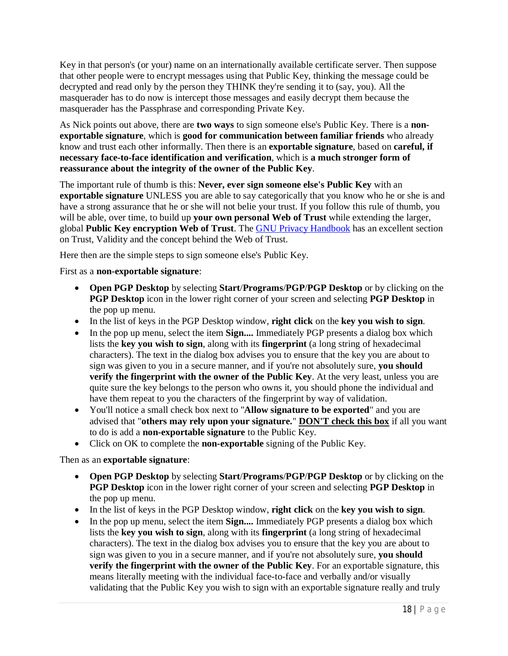Key in that person's (or your) name on an internationally available certificate server. Then suppose that other people were to encrypt messages using that Public Key, thinking the message could be decrypted and read only by the person they THINK they're sending it to (say, you). All the masquerader has to do now is intercept those messages and easily decrypt them because the masquerader has the Passphrase and corresponding Private Key.

As Nick points out above, there are **two ways** to sign someone else's Public Key. There is a **nonexportable signature**, which is **good for communication between familiar friends** who already know and trust each other informally. Then there is an **exportable signature**, based on **careful, if necessary face-to-face identification and verification**, which is **a much stronger form of reassurance about the integrity of the owner of the Public Key**.

The important rule of thumb is this: **Never, ever sign someone else's Public Key** with an **exportable signature** UNLESS you are able to say categorically that you know who he or she is and have a strong assurance that he or she will not belie your trust. If you follow this rule of thumb, you will be able, over time, to build up **your own personal Web of Trust** while extending the larger, global **Public Key encryption Web of Trust**. The GNU Privacy Handbook has an excellent section on Trust, Validity and the concept behind the Web of Trust.

Here then are the simple steps to sign someone else's Public Key.

First as a **non-exportable signature**:

- **Open PGP Desktop** by selecting **Start**/**Programs**/**PGP**/**PGP Desktop** or by clicking on the **PGP Desktop** icon in the lower right corner of your screen and selecting **PGP Desktop** in the pop up menu.
- In the list of keys in the PGP Desktop window, **right click** on the **key you wish to sign**.
- In the pop up menu, select the item **Sign....** Immediately PGP presents a dialog box which lists the **key you wish to sign**, along with its **fingerprint** (a long string of hexadecimal characters). The text in the dialog box advises you to ensure that the key you are about to sign was given to you in a secure manner, and if you're not absolutely sure, **you should verify the fingerprint with the owner of the Public Key**. At the very least, unless you are quite sure the key belongs to the person who owns it, you should phone the individual and have them repeat to you the characters of the fingerprint by way of validation.
- You'll notice a small check box next to "**Allow signature to be exported**" and you are advised that "**others may rely upon your signature.**" **DON'T check this box** if all you want to do is add a **non-exportable signature** to the Public Key.
- Click on OK to complete the **non-exportable** signing of the Public Key.

Then as an **exportable signature**:

- **Open PGP Desktop** by selecting **Start**/**Programs**/**PGP**/**PGP Desktop** or by clicking on the **PGP Desktop** icon in the lower right corner of your screen and selecting **PGP Desktop** in the pop up menu.
- In the list of keys in the PGP Desktop window, **right click** on the **key you wish to sign**.
- In the pop up menu, select the item **Sign....** Immediately PGP presents a dialog box which lists the **key you wish to sign**, along with its **fingerprint** (a long string of hexadecimal characters). The text in the dialog box advises you to ensure that the key you are about to sign was given to you in a secure manner, and if you're not absolutely sure, **you should verify the fingerprint with the owner of the Public Key**. For an exportable signature, this means literally meeting with the individual face-to-face and verbally and/or visually validating that the Public Key you wish to sign with an exportable signature really and truly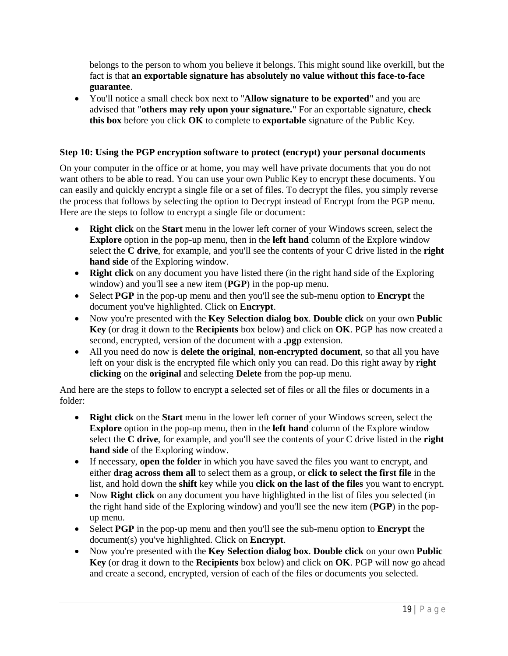belongs to the person to whom you believe it belongs. This might sound like overkill, but the fact is that **an exportable signature has absolutely no value without this face-to-face guarantee**.

 You'll notice a small check box next to "**Allow signature to be exported**" and you are advised that "**others may rely upon your signature.**" For an exportable signature, **check this box** before you click **OK** to complete to **exportable** signature of the Public Key.

### **Step 10: Using the PGP encryption software to protect (encrypt) your personal documents**

On your computer in the office or at home, you may well have private documents that you do not want others to be able to read. You can use your own Public Key to encrypt these documents. You can easily and quickly encrypt a single file or a set of files. To decrypt the files, you simply reverse the process that follows by selecting the option to Decrypt instead of Encrypt from the PGP menu. Here are the steps to follow to encrypt a single file or document:

- **Right click** on the **Start** menu in the lower left corner of your Windows screen, select the **Explore** option in the pop-up menu, then in the **left hand** column of the Explore window select the **C drive**, for example, and you'll see the contents of your C drive listed in the **right hand side** of the Exploring window.
- **Right click** on any document you have listed there (in the right hand side of the Exploring window) and you'll see a new item (**PGP**) in the pop-up menu.
- Select **PGP** in the pop-up menu and then you'll see the sub-menu option to **Encrypt** the document you've highlighted. Click on **Encrypt**.
- Now you're presented with the **Key Selection dialog box**. **Double click** on your own **Public Key** (or drag it down to the **Recipients** box below) and click on **OK**. PGP has now created a second, encrypted, version of the document with a **.pgp** extension.
- All you need do now is **delete the original**, **non-encrypted document**, so that all you have left on your disk is the encrypted file which only you can read. Do this right away by **right clicking** on the **original** and selecting **Delete** from the pop-up menu.

And here are the steps to follow to encrypt a selected set of files or all the files or documents in a folder:

- **Right click** on the **Start** menu in the lower left corner of your Windows screen, select the **Explore** option in the pop-up menu, then in the **left hand** column of the Explore window select the **C drive**, for example, and you'll see the contents of your C drive listed in the **right hand side** of the Exploring window.
- If necessary, **open the folder** in which you have saved the files you want to encrypt, and either **drag across them all** to select them as a group, or **click to select the first file** in the list, and hold down the **shift** key while you **click on the last of the files** you want to encrypt.
- Now **Right click** on any document you have highlighted in the list of files you selected (in the right hand side of the Exploring window) and you'll see the new item (**PGP**) in the popup menu.
- Select **PGP** in the pop-up menu and then you'll see the sub-menu option to **Encrypt** the document(s) you've highlighted. Click on **Encrypt**.
- Now you're presented with the **Key Selection dialog box**. **Double click** on your own **Public Key** (or drag it down to the **Recipients** box below) and click on **OK**. PGP will now go ahead and create a second, encrypted, version of each of the files or documents you selected.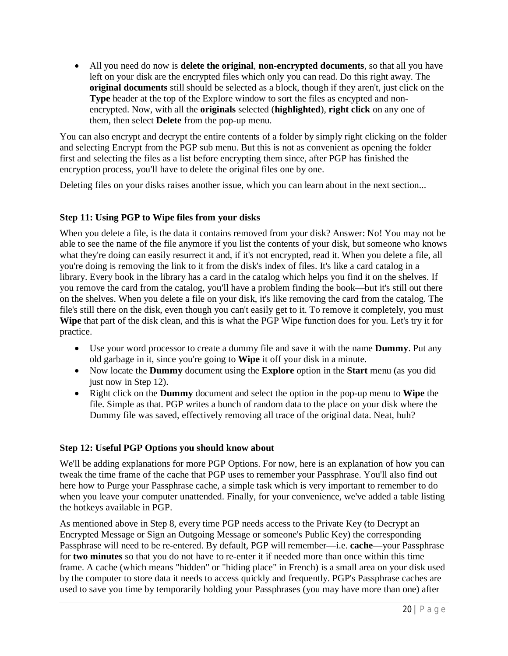All you need do now is **delete the original**, **non-encrypted documents**, so that all you have left on your disk are the encrypted files which only you can read. Do this right away. The **original documents** still should be selected as a block, though if they aren't, just click on the **Type** header at the top of the Explore window to sort the files as encypted and nonencrypted. Now, with all the **originals** selected (**highlighted**), **right click** on any one of them, then select **Delete** from the pop-up menu.

You can also encrypt and decrypt the entire contents of a folder by simply right clicking on the folder and selecting Encrypt from the PGP sub menu. But this is not as convenient as opening the folder first and selecting the files as a list before encrypting them since, after PGP has finished the encryption process, you'll have to delete the original files one by one.

Deleting files on your disks raises another issue, which you can learn about in the next section...

# **Step 11: Using PGP to Wipe files from your disks**

When you delete a file, is the data it contains removed from your disk? Answer: No! You may not be able to see the name of the file anymore if you list the contents of your disk, but someone who knows what they're doing can easily resurrect it and, if it's not encrypted, read it. When you delete a file, all you're doing is removing the link to it from the disk's index of files. It's like a card catalog in a library. Every book in the library has a card in the catalog which helps you find it on the shelves. If you remove the card from the catalog, you'll have a problem finding the book—but it's still out there on the shelves. When you delete a file on your disk, it's like removing the card from the catalog. The file's still there on the disk, even though you can't easily get to it. To remove it completely, you must **Wipe** that part of the disk clean, and this is what the PGP Wipe function does for you. Let's try it for practice.

- Use your word processor to create a dummy file and save it with the name **Dummy**. Put any old garbage in it, since you're going to **Wipe** it off your disk in a minute.
- Now locate the **Dummy** document using the **Explore** option in the **Start** menu (as you did just now in Step 12).
- Right click on the **Dummy** document and select the option in the pop-up menu to **Wipe** the file. Simple as that. PGP writes a bunch of random data to the place on your disk where the Dummy file was saved, effectively removing all trace of the original data. Neat, huh?

# **Step 12: Useful PGP Options you should know about**

We'll be adding explanations for more PGP Options. For now, here is an explanation of how you can tweak the time frame of the cache that PGP uses to remember your Passphrase. You'll also find out here how to Purge your Passphrase cache, a simple task which is very important to remember to do when you leave your computer unattended. Finally, for your convenience, we've added a table listing the hotkeys available in PGP.

As mentioned above in Step 8, every time PGP needs access to the Private Key (to Decrypt an Encrypted Message or Sign an Outgoing Message or someone's Public Key) the corresponding Passphrase will need to be re-entered. By default, PGP will remember—i.e. **cache**—your Passphrase for **two minutes** so that you do not have to re-enter it if needed more than once within this time frame. A cache (which means "hidden" or "hiding place" in French) is a small area on your disk used by the computer to store data it needs to access quickly and frequently. PGP's Passphrase caches are used to save you time by temporarily holding your Passphrases (you may have more than one) after